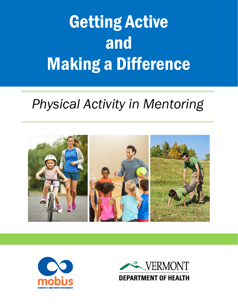# Getting Active and Making a Difference

### *Physical Activity in Mentoring*





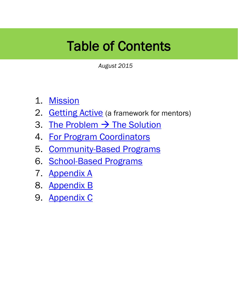### Table of Contents

*August 2015*

- 1. [Mission](#page-2-0)
- 2. [Getting Active](#page-3-0) (a framework for mentors)
- 3. [The Problem](#page-4-0)  $\rightarrow$  The Solution
- 4. [For Program Coordinators](#page-5-0)
- 5. [Community-Based Programs](#page-6-0)
- 6. [School-Based Programs](#page-7-0)
- 7. [Appendix A](#page-8-0)
- 8. [Appendix B](#page-9-0)
- 9. [Appendix C](#page-10-0)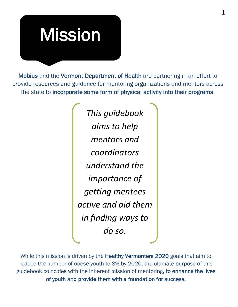# <span id="page-2-0"></span>Mission

Mobius and the Vermont Department of Health are partnering in an effort to provide resources and guidance for mentoring organizations and mentors across the state to incorporate some form of physical activity into their programs.

> *This guidebook aims to help mentors and coordinators understand the importance of getting mentees active and aid them in finding ways to do so.*

While this mission is driven by the **Healthy Vermonters 2020** goals that aim to reduce the number of obese youth to 8% by 2020, the ultimate purpose of this guidebook coincides with the inherent mission of mentoring, to enhance the lives of youth and provide them with a foundation for success.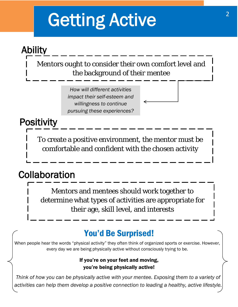# <span id="page-3-0"></span>Getting Active

### Ability

Mentors ought to consider their own comfort level and the background of their mentee

> *How will different activities impact their self-esteem and willingness to continue pursuing these experiences?*

### **Positivity**

To create a positive environment, the mentor must be comfortable and confident with the chosen activity

### Collaboration

Mentors and mentees should work together to determine what types of activities are appropriate for their age, skill level, and interests

### You'd Be Surprised!

When people hear the words "physical activity" they often think of organized sports or exercise. However, every day we are being physically active without consciously trying to be.

#### If you're on your feet and moving, you're being physically active!

*Think of how you can be physically active with your mentee. Exposing them to a variety of activities can help them develop a positive connection to leading a healthy, active lifestyle.*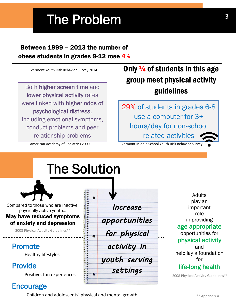## The Problem

### Between 1999 – 2013 the number of obese students in grades 9-12 rose 4%

Vermont Youth Risk Behavior Survey 2014

Both higher screen time and lower physical activity rates were linked with higher odds of psychological distress, including emotional symptoms, conduct problems and peer relationship problems

American Academy of Pediatrics 2009

### <span id="page-4-0"></span>Only  $\frac{1}{4}$  of students in this age group meet physical activity guidelines

29% of students in grades 6-8 use a computer for 3+ hours/day for non-school related activities

Vermont Middle School Youth Risk Behavior Survey

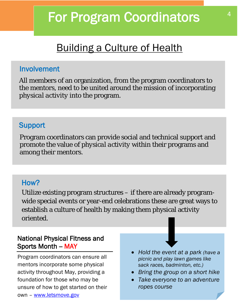### <span id="page-5-0"></span>Building a Culture of Health

### Involvement

All members of an organization, from the program coordinators to the mentors, need to be united around the *mission* of incorporating *physical activity* into the program.

### **Support**

Program coordinators can provide social and technical support and promote the value of *physical activity* within their programs and among their mentors.

### How?

Utilize existing program structures – if there are already programwide special events or year-end celebrations these are great ways to establish a culture of health by making them physical activity oriented.

### National Physical Fitness and Sports Month - MAY

Program coordinators can ensure all mentors incorporate some physical activity throughout May, providing a foundation for those who may be unsure of how to get started on their own – [www.letsmove.gov](http://www.letsmove.gov/)

- *Hold the event at a park (have a picnic and play lawn games like sack races, badminton, etc.)*
- *Bring the group on a short hike*
- *Take everyone to an adventure ropes course*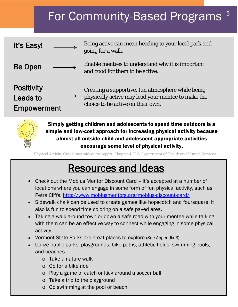#### <span id="page-6-0"></span>For Community-Based Programs 5

| It's Easy!                                          | Being active can mean heading to your local park and<br>going for a walk.                                                                    |
|-----------------------------------------------------|----------------------------------------------------------------------------------------------------------------------------------------------|
| <b>Be Open</b>                                      | Enable mentees to understand why it is important<br>and good for them to be active.                                                          |
| <b>Positivity</b><br><b>Leads to</b><br>Empowerment | Creating a supportive, fun atmosphere while being<br>physically active may lead your mentee to make the<br>choice to be active on their own. |



Simply getting children and adolescents to spend time outdoors is a simple and low-cost approach for increasing physical activity because almost all outside child and adolescent appropriate activities encourage some level of physical activity.

Physical Activity Guidelines midcourse report: Chapter 4. U.S. Department of Health and Human Services

### Resources and Ideas

- Check out the Mobius Mentor Discount Card it's accepted at a number of locations where you can engage in some form of fun physical activity, such as Petra Cliffs.<http://www.mobiusmentors.org/mobius-discount-card/>
- Sidewalk chalk can be used to create games like hopscotch and foursquare. It also is fun to spend time coloring on a safe paved area.
- Taking a walk around town or down a safe road with your mentee while talking with them can be an effective way to connect while engaging in some physical activity.
- Vermont State Parks are great places to explore (See Appendix B).
- Utilize public parks, playgrounds, bike paths, athletic fields, swimming pools, and beaches.
	- o Take a nature walk
	- o Go for a bike ride
	- o Play a game of catch or kick around a soccer ball
	- o Take a trip to the playground
	- o Go swimming at the pool or beach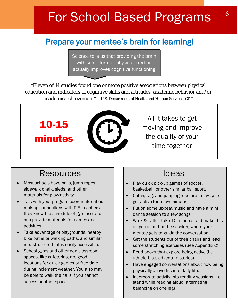### <span id="page-7-0"></span>For School-Based Programs

### Prepare your mentee's brain for learning!

Science tells us that providing the brain with some form of physical exertion actually improves cognitive functioning

"Eleven of 14 studies found one or more positive associations between physical education and indicators of cognitive skills and attitudes, academic behavior and/or academic achievement" – U.S. Department of Health and Human Services, CDC



All it takes to get moving and improve the quality of your time together

### Resources II

• Most schools have balls, jump ropes, sidewalk chalk, sleds, and other materials for play/activity.

10-15

minutes

- Talk with your program coordinator about making connections with P.E. teachers – they know the schedule of gym use and can provide materials for games and activities.
- Take advantage of playgrounds, nearby bike paths or walking paths, and similar infrastructure that is easily accessible.
- School gyms and other non-classroom spaces, like cafeterias, are good locations for quick games or free time during inclement weather. You also may be able to walk the halls if you cannot access another space.

- Play quick pick-up games of soccer, basketball, or other similar ball sport.
- Catch, tag, and jumping-rope are fun ways to get active for a few minutes.
- Put on some upbeat music and have a mini dance session to a few songs.
- Walk & Talk take 10 minutes and make this a special part of the session, where your mentee gets to guide the conversation.
- Get the students out of their chairs and lead some stretching exercises (See Appendix C).
- Read books that explore being active (i.e. athlete bios, adventure stories).
- Have engaged conversations about how being physically active fits into daily life.
- Incorporate activity into reading sessions (i.e. stand while reading aloud, alternating balancing on one leg)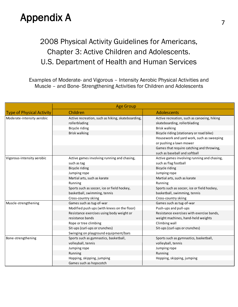### Appendix A 7

### <span id="page-8-0"></span>2008 Physical Activity Guidelines for Americans, Chapter 3: Active Children and Adolescents. U.S. Department of Health and Human Services

Examples of Moderate- and Vigorous – Intensity Aerobic Physical Activities and Muscle – and Bone- Strengthening Activities for Children and Adolescents

|                                  | <b>Age Group</b>                                  |                                             |  |
|----------------------------------|---------------------------------------------------|---------------------------------------------|--|
| <b>Type of Physical Activity</b> | Children                                          | Adolescents                                 |  |
| Moderate-intensity aerobic       | Active recreation, such as hiking, skateboarding, | Active recreation, such as canoeing, hiking |  |
|                                  | rollerblading                                     | skateboarding, rollerblading                |  |
|                                  | Bicycle riding                                    | Brisk walking                               |  |
|                                  | <b>Brisk walking</b>                              | Bicycle riding (stationary or road bike)    |  |
|                                  |                                                   | Housework and yard work, such as sweeping   |  |
|                                  |                                                   | or pushing a lawn mower                     |  |
|                                  |                                                   | Games that require catching and throwing,   |  |
|                                  |                                                   | such as baseball and softball               |  |
| Vigorous-intensity aerobic       | Active games involving running and chasing,       | Active games involving running and chasing, |  |
|                                  | such as tag                                       | such as flag football                       |  |
|                                  | Bicycle riding                                    | Bicycle riding                              |  |
|                                  | Jumping rope                                      | Jumping rope                                |  |
|                                  | Martial arts, such as karate                      | Martial arts, such as karate                |  |
|                                  | Running                                           | Running                                     |  |
|                                  | Sports such as soccer, ice or field hockey,       | Sports such as soccer, ice or field hockey, |  |
|                                  | basketball, swimming, tennis                      | basketball, swimming, tennis                |  |
|                                  | Cross-country skiing                              | Cross-country skiing                        |  |
| Muscle-strengthening             | Games such as tug-of-war                          | Games such as tug-of-war                    |  |
|                                  | Modified push ups (with knees on the floor)       | Push-ups and pull-ups                       |  |
|                                  | Resistance exercises using body weight or         | Resistance exercises with exercise bands,   |  |
|                                  | resistance bands                                  | weight machines, hand-held weights          |  |
|                                  | Rope or tree climbing                             | Climbing wall                               |  |
|                                  | Sit-ups (curl-ups or crunches)                    | Sit-ups (curl-ups or crunches)              |  |
|                                  | Swinging on playground equipment/bars             |                                             |  |
| Bone-strengthening               | Sports such as gymnastics, basketball,            | Sports such as gymnastics, basketball,      |  |
|                                  | volleyball, tennis                                | volleyball, tennis                          |  |
|                                  | Jumping rope                                      | Jumping rope                                |  |
|                                  | Running                                           | Running                                     |  |
|                                  | Hopping, skipping, jumping                        | Hopping, skipping, jumping                  |  |
|                                  | Games such as hopscotch                           |                                             |  |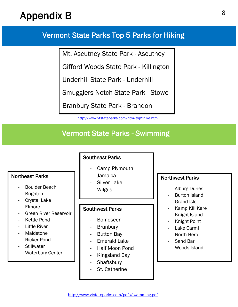### Appendix B

### <span id="page-9-0"></span>Vermont State Parks Top 5 Parks for Hiking

Mt. Ascutney State Park - Ascutney

Gifford Woods State Park - Killington

Underhill State Park - Underhill

Smugglers Notch State Park - Stowe

Branbury State Park - Brandon

<http://www.vtstateparks.com/htm/top5hike.htm>

### Vermont State Parks - Swimming

#### Northeast Parks

- Boulder Beach
- **Brighton**
- Crystal Lake
- **Elmore**
- Green River Reservoir
- Kettle Pond
- Little River
- **Maidstone**
- Ricker Pond
- **Stillwater**
- **Waterbury Center**

#### Southeast Parks

- Camp Plymouth
- Jamaica
- Silver Lake
- **Wilgus**

#### Southwest Parks

- Bomoseen
- Branbury
- Button Bay
- Emerald Lake
- Half Moon Pond
- Kingsland Bay
- **Shaftsbury**
- St. Catherine

#### Northwest Parks

- Alburg Dunes
- Burton Island
- Grand Isle
- Kamp Kill Kare
- Knight Island
- Knight Point
- Lake Carmi
- North Hero
- Sand Bar
- Woods Island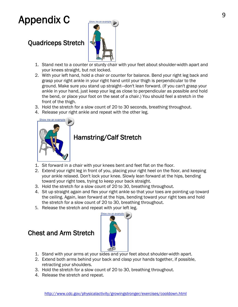### <span id="page-10-0"></span>Appendix C

#### Quadriceps Stretch



- 1. Stand next to a counter or sturdy chair with your feet about shoulder-width apart and your knees straight, but not locked.
- 2. With your left hand, hold a chair or counter for balance. Bend your right leg back and grasp your right ankle in your right hand until your thigh is perpendicular to the ground. Make sure you stand up straight—don't lean forward. (If you can't grasp your ankle in your hand, just keep your leg as close to perpendicular as possible and hold the bend, or place your foot on the seat of a chair.) You should feel a stretch in the front of the thigh.
- 3. Hold the stretch for a slow count of 20 to 30 seconds, breathing throughout.
- 4. Release your right ankle and repeat with the other leg.



#### [H](http://www.cdc.gov/physicalactivity/images/growingstronger/exercises/hamstring_stretch.gif)amstring/Calf Stretch

- 1. Sit forward in a chair with your knees bent and feet flat on the floor.
- 2. Extend your right leg in front of you, placing your right heel on the floor, and keeping your ankle relaxed. Don't lock your knee. Slowly lean forward at the hips, bending toward your right toes, trying to keep your back straight.
- 3. Hold the stretch for a slow count of 20 to 30, breathing throughout.
- 4. Sit up straight again and flex your right ankle so that your toes are pointing up toward the ceiling. Again, lean forward at the hips, bending toward your right toes and hold the stretch for a slow count of 20 to 30, breathing throughout.
- 5. Release the stretch and repeat with your left leg.

#### Chest and Arm Stretch



- 1. Stand with your arms at your sides and your feet about shoulder-width apart.
- 2. Extend both arms behind your back and clasp your hands together, if possible, retracting your shoulders.
- 3. Hold the stretch for a slow count of 20 to 30, breathing throughout.
- 4. Release the stretch and repeat.